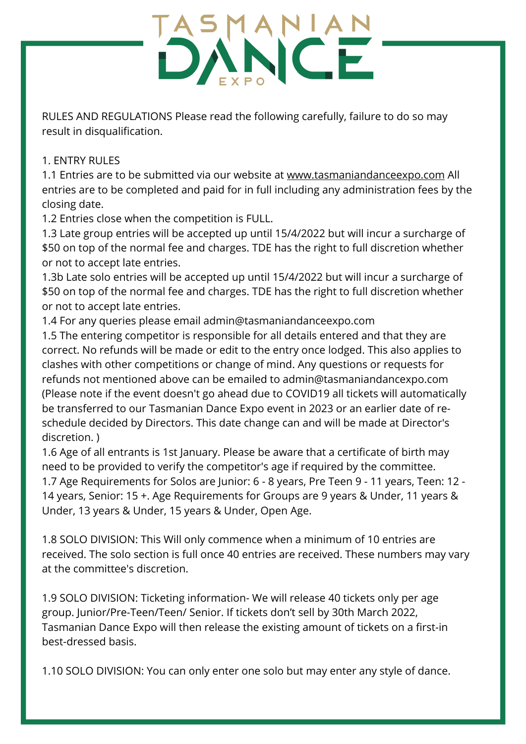RULES AND REGULATIONS Please read the following carefully, failure to do so may result in disqualification.

#### 1. ENTRY RULES

1.1 Entries are to be submitted via our website at [www.tasmaniandanceexpo.com](http://www.tasmaniandanceexpo.com/) All entries are to be completed and paid for in full including any administration fees by the closing date.

1.2 Entries close when the competition is FULL.

1.3 Late group entries will be accepted up until 15/4/2022 but will incur a surcharge of \$50 on top of the normal fee and charges. TDE has the right to full discretion whether or not to accept late entries.

1.3b Late solo entries will be accepted up until 15/4/2022 but will incur a surcharge of \$50 on top of the normal fee and charges. TDE has the right to full discretion whether or not to accept late entries.

1.4 For any queries please email admin@tasmaniandanceexpo.com

1.5 The entering competitor is responsible for all details entered and that they are correct. No refunds will be made or edit to the entry once lodged. This also applies to clashes with other competitions or change of mind. Any questions or requests for refunds not mentioned above can be emailed to admin@tasmaniandancexpo.com (Please note if the event doesn't go ahead due to COVID19 all tickets will automatically be transferred to our Tasmanian Dance Expo event in 2023 or an earlier date of reschedule decided by Directors. This date change can and will be made at Director's discretion. )

1.6 Age of all entrants is 1st January. Please be aware that a certificate of birth may need to be provided to verify the competitor's age if required by the committee. 1.7 Age Requirements for Solos are Junior: 6 - 8 years, Pre Teen 9 - 11 years, Teen: 12 - 14 years, Senior: 15 +. Age Requirements for Groups are 9 years & Under, 11 years &

Under, 13 years & Under, 15 years & Under, Open Age.

1.8 SOLO DIVISION: This Will only commence when a minimum of 10 entries are received. The solo section is full once 40 entries are received. These numbers may vary at the committee's discretion.

1.9 SOLO DIVISION: Ticketing information- We will release 40 tickets only per age group. Junior/Pre-Teen/Teen/ Senior. If tickets don't sell by 30th March 2022, Tasmanian Dance Expo will then release the existing amount of tickets on a first-in best-dressed basis.

1.10 SOLO DIVISION: You can only enter one solo but may enter any style of dance.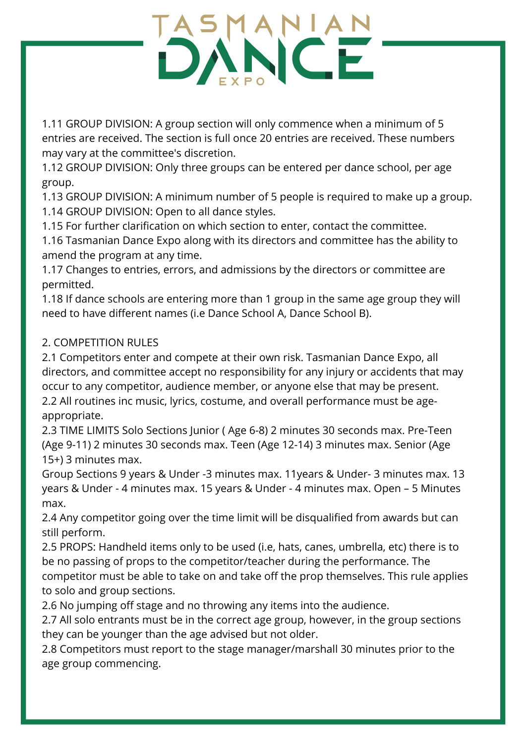1.11 GROUP DIVISION: A group section will only commence when a minimum of 5 entries are received. The section is full once 20 entries are received. These numbers may vary at the committee's discretion.

1.12 GROUP DIVISION: Only three groups can be entered per dance school, per age group.

1.13 GROUP DIVISION: A minimum number of 5 people is required to make up a group. 1.14 GROUP DIVISION: Open to all dance styles.

1.15 For further clarification on which section to enter, contact the committee.

1.16 Tasmanian Dance Expo along with its directors and committee has the ability to amend the program at any time.

1.17 Changes to entries, errors, and admissions by the directors or committee are permitted.

1.18 If dance schools are entering more than 1 group in the same age group they will need to have different names (i.e Dance School A, Dance School B).

### 2. COMPETITION RULES

2.1 Competitors enter and compete at their own risk. Tasmanian Dance Expo, all directors, and committee accept no responsibility for any injury or accidents that may occur to any competitor, audience member, or anyone else that may be present. 2.2 All routines inc music, lyrics, costume, and overall performance must be ageappropriate.

2.3 TIME LIMITS Solo Sections Junior ( Age 6-8) 2 minutes 30 seconds max. Pre-Teen (Age 9-11) 2 minutes 30 seconds max. Teen (Age 12-14) 3 minutes max. Senior (Age 15+) 3 minutes max.

Group Sections 9 years & Under -3 minutes max. 11years & Under- 3 minutes max. 13 years & Under - 4 minutes max. 15 years & Under - 4 minutes max. Open – 5 Minutes max.

2.4 Any competitor going over the time limit will be disqualified from awards but can still perform.

2.5 PROPS: Handheld items only to be used (i.e, hats, canes, umbrella, etc) there is to be no passing of props to the competitor/teacher during the performance. The competitor must be able to take on and take off the prop themselves. This rule applies to solo and group sections.

2.6 No jumping off stage and no throwing any items into the audience.

2.7 All solo entrants must be in the correct age group, however, in the group sections they can be younger than the age advised but not older.

2.8 Competitors must report to the stage manager/marshall 30 minutes prior to the age group commencing.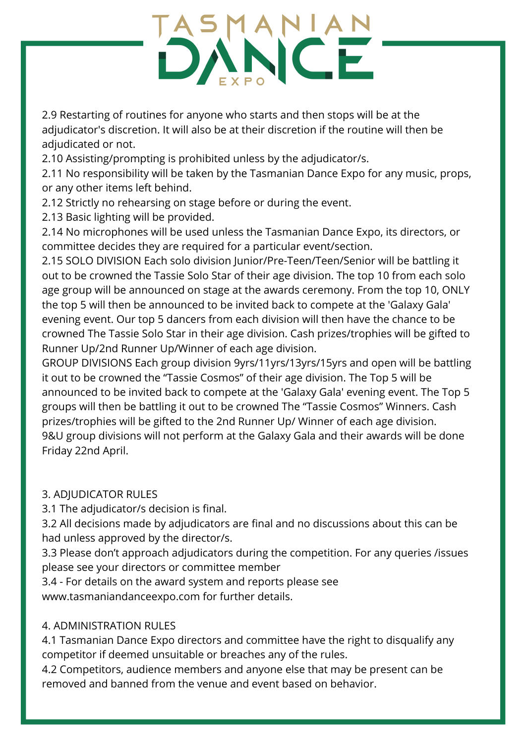2.9 Restarting of routines for anyone who starts and then stops will be at the adjudicator's discretion. It will also be at their discretion if the routine will then be adjudicated or not.

2.10 Assisting/prompting is prohibited unless by the adjudicator/s.

2.11 No responsibility will be taken by the Tasmanian Dance Expo for any music, props, or any other items left behind.

- 2.12 Strictly no rehearsing on stage before or during the event.
- 2.13 Basic lighting will be provided.

2.14 No microphones will be used unless the Tasmanian Dance Expo, its directors, or committee decides they are required for a particular event/section.

2.15 SOLO DIVISION Each solo division Junior/Pre-Teen/Teen/Senior will be battling it out to be crowned the Tassie Solo Star of their age division. The top 10 from each solo age group will be announced on stage at the awards ceremony. From the top 10, ONLY the top 5 will then be announced to be invited back to compete at the 'Galaxy Gala' evening event. Our top 5 dancers from each division will then have the chance to be crowned The Tassie Solo Star in their age division. Cash prizes/trophies will be gifted to Runner Up/2nd Runner Up/Winner of each age division.

GROUP DIVISIONS Each group division 9yrs/11yrs/13yrs/15yrs and open will be battling it out to be crowned the "Tassie Cosmos" of their age division. The Top 5 will be announced to be invited back to compete at the 'Galaxy Gala' evening event. The Top 5 groups will then be battling it out to be crowned The "Tassie Cosmos" Winners. Cash prizes/trophies will be gifted to the 2nd Runner Up/ Winner of each age division. 9&U group divisions will not perform at the Galaxy Gala and their awards will be done Friday 22nd April.

### 3. ADJUDICATOR RULES

3.1 The adjudicator/s decision is final.

3.2 All decisions made by adjudicators are final and no discussions about this can be had unless approved by the director/s.

3.3 Please don't approach adjudicators during the competition. For any queries /issues please see your directors or committee member

3.4 - For details on the award system and reports please see www.tasmaniandanceexpo.com for further details.

#### 4. ADMINISTRATION RULES

4.1 Tasmanian Dance Expo directors and committee have the right to disqualify any competitor if deemed unsuitable or breaches any of the rules.

4.2 Competitors, audience members and anyone else that may be present can be removed and banned from the venue and event based on behavior.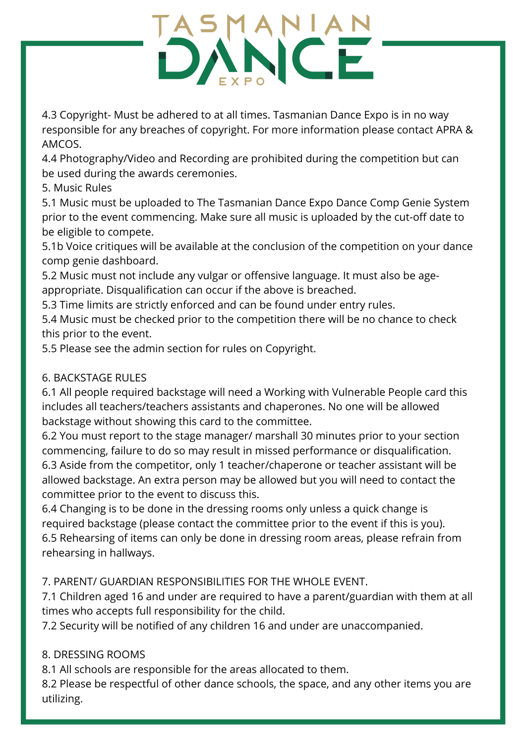4.3 Copyright- Must be adhered to at all times. Tasmanian Dance Expo is in no way responsible for any breaches of copyright. For more information please contact APRA & AMCOS.

4.4 Photography/Video and Recording are prohibited during the competition but can be used during the awards ceremonies.

5. Music Rules

5.1 Music must be uploaded to The Tasmanian Dance Expo Dance Comp Genie System prior to the event commencing. Make sure all music is uploaded by the cut-off date to be eligible to compete.

5.1b Voice critiques will be available at the conclusion of the competition on your dance comp genie dashboard.

5.2 Music must not include any vulgar or offensive language. It must also be ageappropriate. Disqualification can occur if the above is breached.

5.3 Time limits are strictly enforced and can be found under entry rules.

5.4 Music must be checked prior to the competition there will be no chance to check this prior to the event.

5.5 Please see the admin section for rules on Copyright.

### 6. BACKSTAGE RULES

6.1 All people required backstage will need a Working with Vulnerable People card this includes all teachers/teachers assistants and chaperones. No one will be allowed backstage without showing this card to the committee.

6.2 You must report to the stage manager/ marshall 30 minutes prior to your section commencing, failure to do so may result in missed performance or disqualification. 6.3 Aside from the competitor, only 1 teacher/chaperone or teacher assistant will be allowed backstage. An extra person may be allowed but you will need to contact the committee prior to the event to discuss this.

6.4 Changing is to be done in the dressing rooms only unless a quick change is required backstage (please contact the committee prior to the event if this is you). 6.5 Rehearsing of items can only be done in dressing room areas, please refrain from rehearsing in hallways.

### 7. PARENT/ GUARDIAN RESPONSIBILITIES FOR THE WHOLE EVENT.

7.1 Children aged 16 and under are required to have a parent/guardian with them at all times who accepts full responsibility for the child.

7.2 Security will be notified of any children 16 and under are unaccompanied.

### 8. DRESSING ROOMS

8.1 All schools are responsible for the areas allocated to them.

8.2 Please be respectful of other dance schools, the space, and any other items you are utilizing.